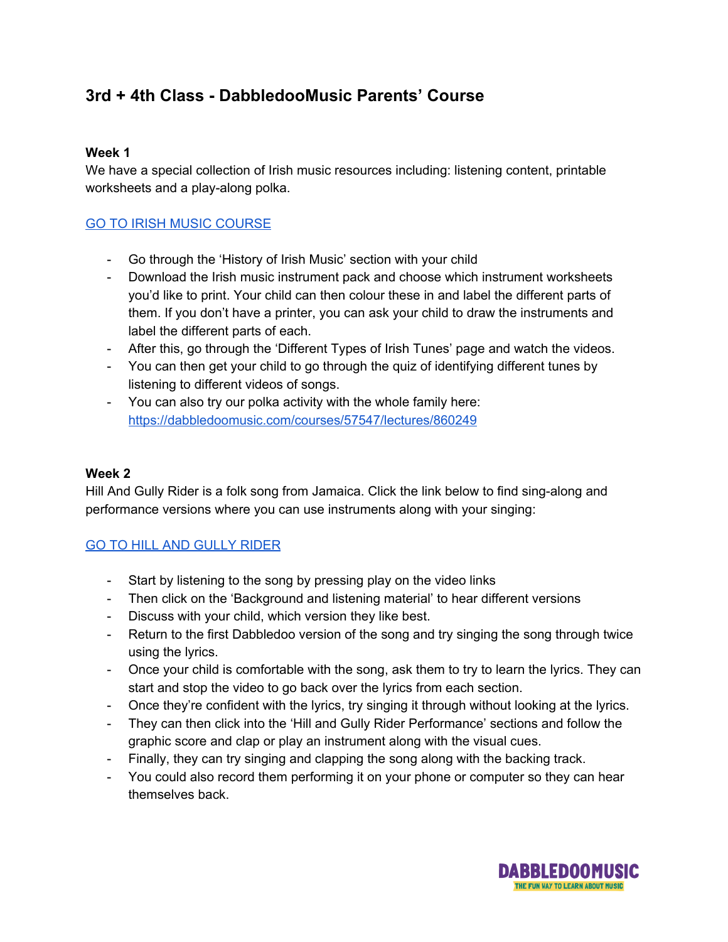# **3rd + 4th Class - DabbledooMusic Parents' Course**

### **Week 1**

We have a special collection of Irish music resources including: listening content, printable worksheets and a play-along polka.

## GO TO IRISH MUSIC [COURSE](https://dabbledoomusic.com/courses/enrolled/57547)

- Go through the 'History of Irish Music' section with your child
- Download the Irish music instrument pack and choose which instrument worksheets you'd like to print. Your child can then colour these in and label the different parts of them. If you don't have a printer, you can ask your child to draw the instruments and label the different parts of each.
- After this, go through the 'Different Types of Irish Tunes' page and watch the videos.
- You can then get your child to go through the quiz of identifying different tunes by listening to different videos of songs.
- You can also try our polka activity with the whole family here: <https://dabbledoomusic.com/courses/57547/lectures/860249>

### **Week 2**

Hill And Gully Rider is a folk song from Jamaica. Click the link below to find sing-along and performance versions where you can use instruments along with your singing:

# GO TO HILL AND [GULLY](https://dabbledoomusic.com/courses/295773/lectures/4551005?utm_campaign=Parents%20Campaign%202020&utm_source=hs_email&utm_medium=email&_hsenc=p2ANqtz-94IshxvxjmcdP14ADFFUjBi5olPt1LGzbogv7afxYpWia9kKCGiXVPRTIbAlRcTnD_lzuk) RIDER

- Start by listening to the song by pressing play on the video links
- Then click on the 'Background and listening material' to hear different versions
- Discuss with your child, which version they like best.
- Return to the first Dabbledoo version of the song and try singing the song through twice using the lyrics.
- Once your child is comfortable with the song, ask them to try to learn the lyrics. They can start and stop the video to go back over the lyrics from each section.
- Once they're confident with the lyrics, try singing it through without looking at the lyrics.
- They can then click into the 'Hill and Gully Rider Performance' sections and follow the graphic score and clap or play an instrument along with the visual cues.
- Finally, they can try singing and clapping the song along with the backing track.
- You could also record them performing it on your phone or computer so they can hear themselves back.